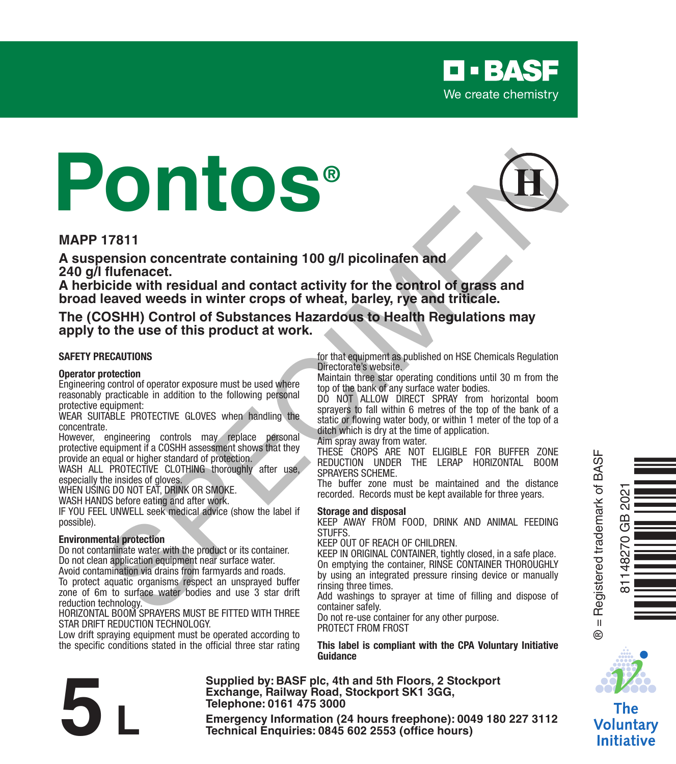

# **Pontos® 17811**<br> **SPECIES WEIGHT CONTRACT CONSULTER THE CONSULTER CONSULTER CONSULTER CONSULTER CONSULTER 2000 STAND CONTRACT CONSULTER 2000 STAND CONSULTER 2000 STAND CONSULTER CONSULTER THE USE CONSULTER THE USE CONSULTER THE US**



#### **MAPP 17811**

**A suspension concentrate containing 100 g/l picolinafen and 240 g/l flufenacet.** 

**A herbicide with residual and contact activity for the control of grass and broad leaved weeds in winter crops of wheat, barley, rye and triticale.**

#### **The (COSHH) Control of Substances Hazardous to Health Regulations may apply to the use of this product at work.**

#### **SAFETY PRECAUTIONS**

#### **Operator protection**

Engineering control of operator exposure must be used where reasonably practicable in addition to the following personal protective equipment:

WEAR SUITABLE PROTECTIVE GLOVES when handling the concentrate.

However, engineering controls may replace personal protective equipment if a COSHH assessment shows that they

provide an equal or higher standard of protection. WASH ALL PROTECTIVE CLOTHING thoroughly after use, especially the insides of gloves.

WHEN USING DO NOT FAT, DRINK OR SMOKE.

WASH HANDS before eating and after work.

IF YOU FEEL UNWELL seek medical advice (show the label if possible).

#### **Environmental protection**

Do not contaminate water with the product or its container. Do not clean application equipment near surface water. Avoid contamination via drains from farmyards and roads.

To protect aquatic organisms respect an unsprayed buffer zone of 6m to surface water bodies and use 3 star drift reduction technology.

HORIZONTAL BOOM SPRAYERS MUST BE FITTED WITH THREE STAR DRIFT REDUCTION TECHNOLOGY.

Low drift spraying equipment must be operated according to the specific conditions stated in the official three star rating for that equipment as published on HSE Chemicals Regulation Directorate's website.

Maintain three star operating conditions until 30 m from the top of the bank of any surface water bodies.

DO NOT ALLOW DIRECT SPRAY from horizontal boom sprayers to fall within 6 metres of the top of the bank of a static or flowing water body, or within 1 meter of the top of a ditch which is dry at the time of application.

Aim spray away from water.

THESE CROPS ARE NOT ELIGIBLE FOR BUFFER ZONE REDUCTION UNDER THE LERAP HORIZONTAL BOOM SPRAYERS SCHEME.

The buffer zone must be maintained and the distance recorded. Records must be kept available for three years.

#### **Storage and disposal**

KEEP AWAY FROM FOOD, DRINK AND ANIMAL FEEDING **STUFFS** 

KEEP OUT OF REACH OF CHILDREN.

KEEP IN ORIGINAL CONTAINER, tightly closed, in a safe place. On emptying the container, RINSE CONTAINER THOROUGHLY by using an integrated pressure rinsing device or manually rinsing three times.

Add washings to sprayer at time of filling and dispose of container safely.

Do not re-use container for any other purpose. PROTECT FROM FROST

**This label is compliant with the CPA Voluntary Initiative Guidance**

**Supplied by: BASF plc, 4th and 5th Floors, 2 Stockport Exchange, Railway Road, Stockport SK1 3GG, Telephone: 0161 475 3000** Exchange, Rallway Road, Stockport SK1 3GG,<br>
Telephone: 0161 475 3000<br>
Emergency Information (24 hours freephone): 0049 180 227 3112<br>
Technical Enquiries: 0845 602 2553 (office hours)



® = Registered trademark of BASF

 $^{\circ}$ 



Voluntarv **Initiative**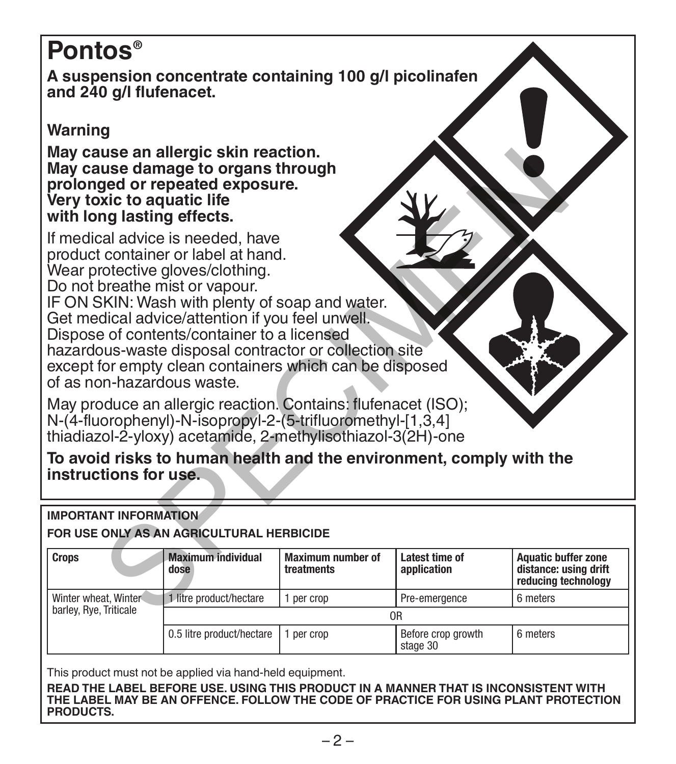# **Pontos®**

**A suspension concentrate containing 100 g/l picolinafen and 240 g/l flufenacet.** 

# **Warning**

**May cause an allergic skin reaction. May cause damage to organs through prolonged or repeated exposure. Very toxic to aquatic life with long lasting effects.**

If medical advice is needed, have product container or label at hand. Wear protective gloves/clothing. Do not breathe mist or vapour. IF ON SKIN: Wash with plenty of soap and water. Get medical advice/attention if you feel unwell. Dispose of contents/container to a licensed hazardous-waste disposal contractor or collection site except for empty clean containers which can be disposed of as non-hazardous waste. use an allergic skin reaction.<br>
with the amage to organs through<br>
situate in a divide is meeded, have<br>
container or label at hand.<br>
Container or label at hand.<br>
Container or label at hand.<br>
Container or label at hand.<br>
Con

May produce an allergic reaction. Contains: flufenacet (ISO): N-(4-fluorophenyl)-N-isopropyl-2-(5-trifluoromethyl-[1,3,4] thiadiazol-2-yloxy) acetamide, 2-methylisothiazol-3(2H)-one

**To avoid risks to human health and the environment, comply with the instructions for use.**

#### **IMPORTANT INFORMATION**

#### **FOR USE ONLY AS AN AGRICULTURAL HERBICIDE**

| <b>Crops</b>                                   | <b>Maximum individual</b><br>dose | Maximum number of<br>treatments | Latest time of<br>application  | <b>Aquatic buffer zone</b><br>distance: using drift<br>reducing technology |  |
|------------------------------------------------|-----------------------------------|---------------------------------|--------------------------------|----------------------------------------------------------------------------|--|
| Winter wheat, Winter<br>barley, Rye, Triticale | litre product/hectare             | per crop                        | Pre-emergence                  | 6 meters                                                                   |  |
|                                                | 0 <sub>R</sub>                    |                                 |                                |                                                                            |  |
|                                                | 0.5 litre product/hectare         | per crop                        | Before crop growth<br>stage 30 | 6 meters                                                                   |  |

This product must not be applied via hand-held equipment.

**READ THE LABEL BEFORE USE. USING THIS PRODUCT IN A MANNER THAT IS INCONSISTENT WITH THE LABEL MAY BE AN OFFENCE. FOLLOW THE CODE OF PRACTICE FOR USING PLANT PROTECTION PRODUCTS.**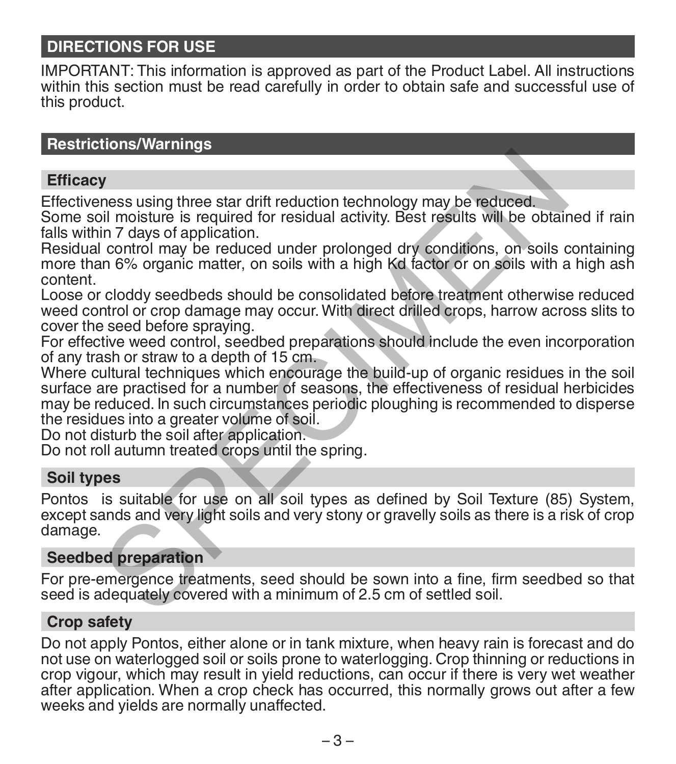# **DIRECTIONS FOR USE**

IMPORTANT: This information is approved as part of the Product Label. All instructions within this section must be read carefully in order to obtain safe and successful use of this product.

### **Restrictions/Warnings**

#### **Efficacy**

Effectiveness using three star drift reduction technology may be reduced.

Some soil moisture is required for residual activity. Best results will be obtained if rain falls within 7 days of application.

Residual control may be reduced under prolonged dry conditions, on soils containing more than 6% organic matter, on soils with a high Kd factor or on soils with a high ash content.

Loose or cloddy seedbeds should be consolidated before treatment otherwise reduced weed control or crop damage may occur. With direct drilled crops, harrow across slits to cover the seed before spraying.

For effective weed control, seedbed preparations should include the even incorporation of any trash or straw to a depth of 15 cm.

Where cultural techniques which encourage the build-up of organic residues in the soil surface are practised for a number of seasons, the effectiveness of residual herbicides may be reduced. In such circumstances periodic ploughing is recommended to disperse the residues into a greater volume of soil. **The mass using three star drift reduction technology may be reduced.**<br>
In moisture is required for residual activity. Best results will be obtain<br>
in 7 days of application.<br>
control may be reduced under prolonged dry cond

Do not disturb the soil after application.

Do not roll autumn treated crops until the spring.

#### **Soil types**

Pontos is suitable for use on all soil types as defined by Soil Texture (85) System, except sands and very light soils and very stony or gravelly soils as there is a risk of crop damage.

# **Seedbed preparation**

For pre-emergence treatments, seed should be sown into a fine, firm seedbed so that seed is adequately covered with a minimum of 2.5 cm of settled soil.

### **Crop safety**

Do not apply Pontos, either alone or in tank mixture, when heavy rain is forecast and do not use on waterlogged soil or soils prone to waterlogging. Crop thinning or reductions in crop vigour, which may result in yield reductions, can occur if there is very wet weather after application. When a crop check has occurred, this normally grows out after a few weeks and yields are normally unaffected.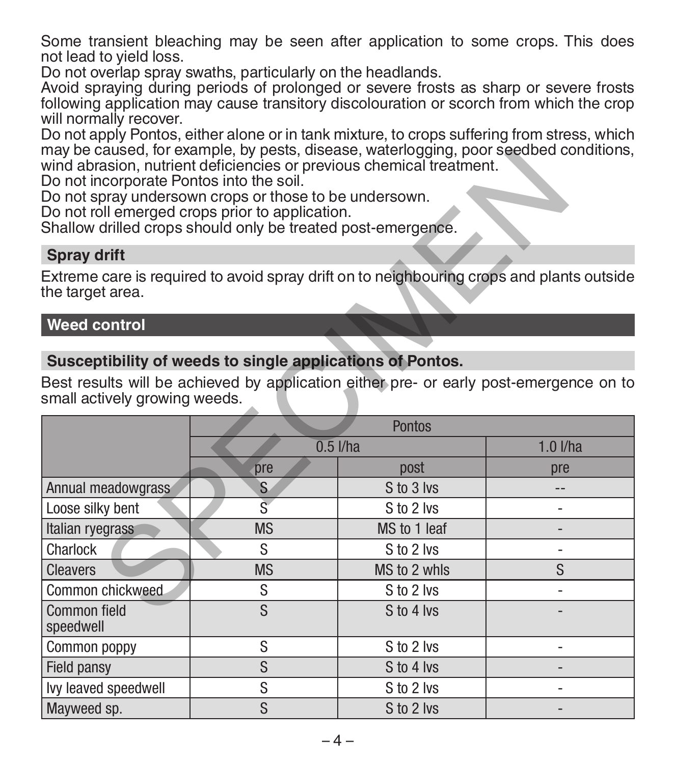Some transient bleaching may be seen after application to some crops. This does not lead to yield loss.

Do not overlap spray swaths, particularly on the headlands.

Avoid spraying during periods of prolonged or severe frosts as sharp or severe frosts following application may cause transitory discolouration or scorch from which the crop will normally recover.

Do not apply Pontos, either alone or in tank mixture, to crops suffering from stress, which may be caused, for example, by pests, disease, waterlogging, poor seedbed conditions, wind abrasion, nutrient deficiencies or previous chemical treatment.

#### **Spray drift**

#### **Weed control**

# **Susceptibility of weeds to single applications of Pontos.**

| may be caused, for example, by pests, disease, waterlogging, poor seedbed conditions,<br>wind abrasion, nutrient deficiencies or previous chemical treatment.<br>Do not incorporate Pontos into the soil.<br>Do not spray undersown crops or those to be undersown.<br>Do not roll emerged crops prior to application.<br>Shallow drilled crops should only be treated post-emergence. |                |              |              |  |  |  |  |
|----------------------------------------------------------------------------------------------------------------------------------------------------------------------------------------------------------------------------------------------------------------------------------------------------------------------------------------------------------------------------------------|----------------|--------------|--------------|--|--|--|--|
| <b>Spray drift</b>                                                                                                                                                                                                                                                                                                                                                                     |                |              |              |  |  |  |  |
| Extreme care is required to avoid spray drift on to neighbouring crops and plants outside<br>the target area.                                                                                                                                                                                                                                                                          |                |              |              |  |  |  |  |
| <b>Weed control</b>                                                                                                                                                                                                                                                                                                                                                                    |                |              |              |  |  |  |  |
|                                                                                                                                                                                                                                                                                                                                                                                        |                |              |              |  |  |  |  |
| Susceptibility of weeds to single applications of Pontos.<br>Best results will be achieved by application either pre- or early post-emergence on to<br>small actively growing weeds.                                                                                                                                                                                                   |                |              |              |  |  |  |  |
|                                                                                                                                                                                                                                                                                                                                                                                        | Pontos         |              |              |  |  |  |  |
|                                                                                                                                                                                                                                                                                                                                                                                        | $0.5$ I/ha     |              | $1.0$ $I/ha$ |  |  |  |  |
|                                                                                                                                                                                                                                                                                                                                                                                        | pre            | post         | pre          |  |  |  |  |
| Annual meadowgrass                                                                                                                                                                                                                                                                                                                                                                     | S              | S to 3 lvs   | $-$          |  |  |  |  |
| Loose silky bent                                                                                                                                                                                                                                                                                                                                                                       | $\overline{s}$ | S to 2 lvs   |              |  |  |  |  |
| Italian ryegrass                                                                                                                                                                                                                                                                                                                                                                       | <b>MS</b>      | MS to 1 leaf |              |  |  |  |  |
| Charlock                                                                                                                                                                                                                                                                                                                                                                               | S              | S to 2 lvs   | ٠            |  |  |  |  |
| <b>Cleavers</b>                                                                                                                                                                                                                                                                                                                                                                        | <b>MS</b>      | MS to 2 whls | S            |  |  |  |  |
| Common chickweed.                                                                                                                                                                                                                                                                                                                                                                      | S              | S to 2 lvs   |              |  |  |  |  |
| Common field<br>speedwell                                                                                                                                                                                                                                                                                                                                                              | S              | S to 4 lvs   |              |  |  |  |  |
| Common poppy                                                                                                                                                                                                                                                                                                                                                                           | S              | S to 2 lvs   |              |  |  |  |  |
| S<br>Field pansy                                                                                                                                                                                                                                                                                                                                                                       |                | S to 4 lvs   |              |  |  |  |  |
| lvy leaved speedwell                                                                                                                                                                                                                                                                                                                                                                   | S              | S to 2 lvs   | ٠            |  |  |  |  |
| Mayweed sp.                                                                                                                                                                                                                                                                                                                                                                            | S              | S to 2 lvs   |              |  |  |  |  |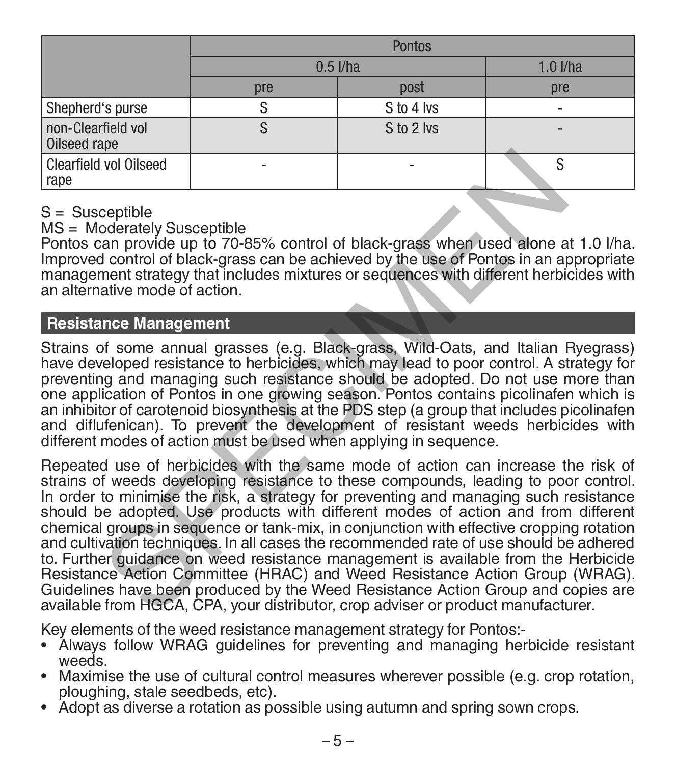|                                    | <b>Pontos</b>     |            |              |  |  |
|------------------------------------|-------------------|------------|--------------|--|--|
|                                    | $0.5$ <i>l/ha</i> |            | $1.0$ $I/ha$ |  |  |
|                                    | pre               | post       | pre          |  |  |
| Shepherd's purse                   |                   | S to 4 lvs |              |  |  |
| non-Clearfield vol<br>Oilseed rape |                   | S to 2 lvs |              |  |  |
| Clearfield vol Oilseed<br>rape     |                   |            |              |  |  |

### $S =$ Susceptible

MS = Moderately Susceptible

Pontos can provide up to 70-85% control of black-grass when used alone at 1.0 l/ha. Improved control of black-grass can be achieved by the use of Pontos in an appropriate management strategy that includes mixtures or sequences with different herbicides with an alternative mode of action.

## **Resistance Management**

Strains of some annual grasses (e.g. Black-grass, Wild-Oats, and Italian Ryegrass) have developed resistance to herbicides, which may lead to poor control. A strategy for preventing and managing such resistance should be adopted. Do not use more than one application of Pontos in one growing season. Pontos contains picolinafen which is an inhibitor of carotenoid biosynthesis at the PDS step (a group that includes picolinafen and diflufenican). To prevent the development of resistant weeds herbicides with different modes of action must be used when applying in sequence.

Repeated use of herbicides with the same mode of action can increase the risk of strains of weeds developing resistance to these compounds, leading to poor control. In order to minimise the risk, a strategy for preventing and managing such resistance should be adopted. Use products with different modes of action and from different chemical groups in sequence or tank-mix, in conjunction with effective cropping rotation and cultivation techniques. In all cases the recommended rate of use should be adhered to. Further guidance on weed resistance management is available from the Herbicide Resistance Action Committee (HRAC) and Weed Resistance Action Group (WRAG). Guidelines have been produced by the Weed Resistance Action Group and copies are available from HGCA, CPA, your distributor, crop adviser or product manufacturer. vol Oilseed<br>
vol Oilseed<br>
ceptible<br>
ceptible<br>
can provide up to 70-85% control of black-grass when used alone a<br>
dicontrol of black-grass can be achieved by the use of Pontos in an a<br>
an ement strategy that includes mixtur

Key elements of the weed resistance management strategy for Pontos:-

- Always follow WRAG guidelines for preventing and managing herbicide resistant weeds.
- Maximise the use of cultural control measures wherever possible (e.g. crop rotation, ploughing, stale seedbeds, etc).
- Adopt as diverse a rotation as possible using autumn and spring sown crops.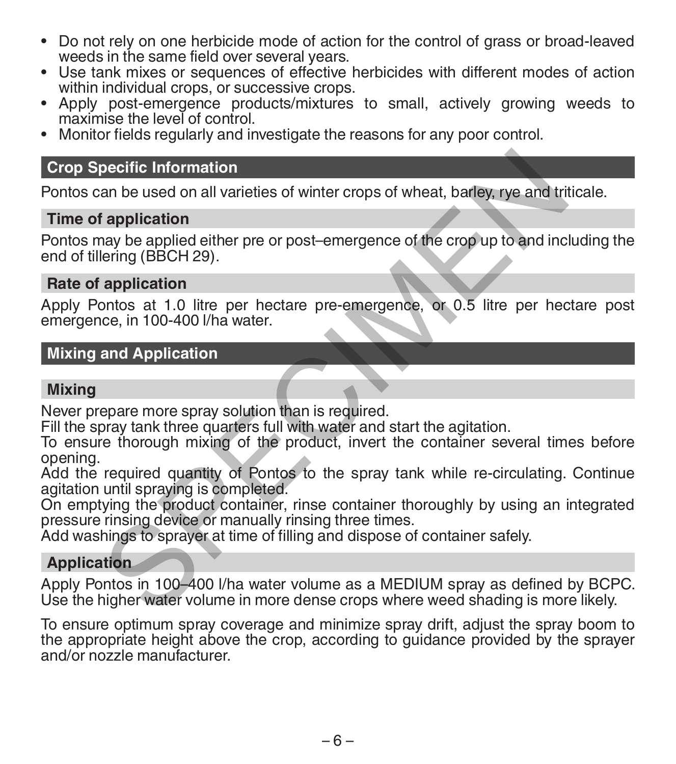- Do not rely on one herbicide mode of action for the control of grass or broad-leaved
- Use tank mixes or sequences of effective herbicides with different modes of action within individual crops. or successive crops.
- Apply post-emergence products/mixtures to small, actively growing weeds to maximise the level of control
- Monitor fields regularly and investigate the reasons for any poor control.

#### **Crop Specific Information**

Pontos can be used on all varieties of winter crops of wheat, barley, rye and triticale.

#### **Time of application**

Pontos may be applied either pre or post–emergence of the crop up to and including the end of tillering (BBCH 29). pecific Information<br>an be used on all varieties of winter crops of wheat, barley, rye and tri<br>application<br>may be applied either pre or post-emergence of the crop up to and inc<br>lering (BBCH 29).<br>application<br>montos at 1.0 li

#### **Rate of application**

Apply Pontos at 1.0 litre per hectare pre-emergence, or 0.5 litre per hectare post emergence, in 100-400 l/ha water.

### **Mixing and Application**

### **Mixing**

Never prepare more spray solution than is required.

Fill the spray tank three quarters full with water and start the agitation.

To ensure thorough mixing of the product, invert the container several times before opening.

Add the required quantity of Pontos to the spray tank while re-circulating. Continue agitation until spraying is completed.

On emptying the product container, rinse container thoroughly by using an integrated pressure rinsing device or manually rinsing three times.

Add washings to sprayer at time of filling and dispose of container safely.

### **Application**

Apply Pontos in 100–400 l/ha water volume as a MEDIUM spray as defined by BCPC. Use the higher water volume in more dense crops where weed shading is more likely.

To ensure optimum spray coverage and minimize spray drift, adjust the spray boom to the appropriate height above the crop, according to guidance provided by the sprayer and/or nozzle manufacturer.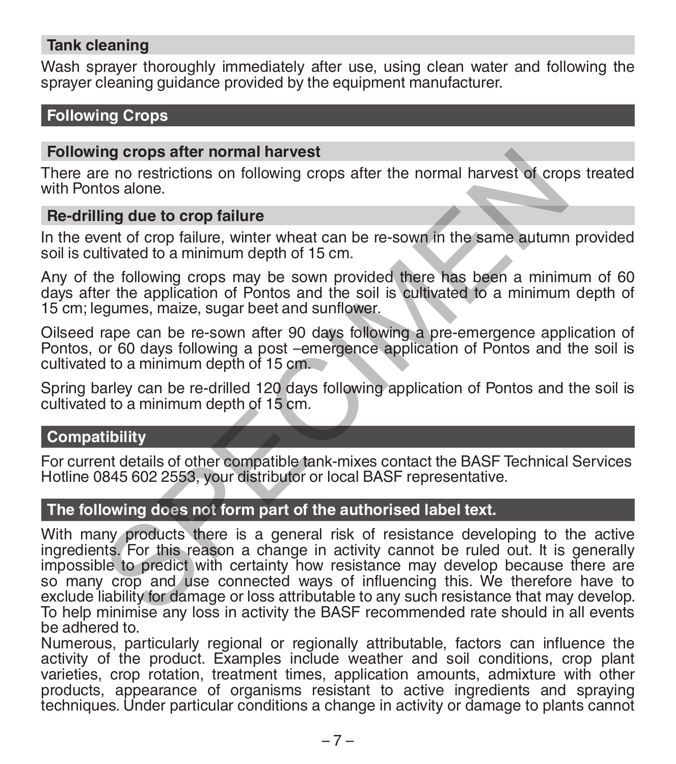#### **Tank cleaning**

Wash sprayer thoroughly immediately after use, using clean water and following the sprayer cleaning quidance provided by the equipment manufacturer.

# **Following Crops**

#### **Following crops after normal harvest**

There are no restrictions on following crops after the normal harvest of crops treated with Pontos alone.

#### **Re-drilling due to crop failure**

In the event of crop failure, winter wheat can be re-sown in the same autumn provided soil is cultivated to a minimum depth of 15 cm.

Any of the following crops may be sown provided there has been a minimum of 60 days after the application of Pontos and the soil is cultivated to a minimum depth of 15 cm; legumes, maize, sugar beet and sunflower.

Oilseed rape can be re-sown after 90 days following a pre-emergence application of Pontos, or 60 days following a post –emergence application of Pontos and the soil is cultivated to a minimum depth of 15 cm.

Spring barley can be re-drilled 120 days following application of Pontos and the soil is cultivated to a minimum depth of 15 cm.

#### **Compatibility**

For current details of other compatible tank-mixes contact the BASF Technical Services Hotline 0845 602 2553, your distributor or local BASF representative.

#### **The following does not form part of the authorised label text.**

With many products there is a general risk of resistance developing to the active ingredients. For this reason a change in activity cannot be ruled out. It is generally impossible to predict with certainty how resistance may develop because there are so many crop and use connected ways of influencing this. We therefore have to exclude liability for damage or loss attributable to any such resistance that may develop. To help minimise any loss in activity the BASF recommended rate should in all events be adhered to. ng crops after normal narvest<br>
to a lone.<br>
tos alone.<br>
tos alone.<br>
ing due to crop failure<br>
ent of crop failure<br>
ent of crop failure, winter wheat can be re-sown in the same autumn<br>
thivated to a minimum depth of 15 cm.<br>
t

Numerous, particularly regional or regionally attributable, factors can influence the activity of the product. Examples include weather and soil conditions, crop plant varieties, crop rotation, treatment times, application amounts, admixture with other products, appearance of organisms resistant to active ingredients and spraying techniques. Under particular conditions a change in activity or damage to plants cannot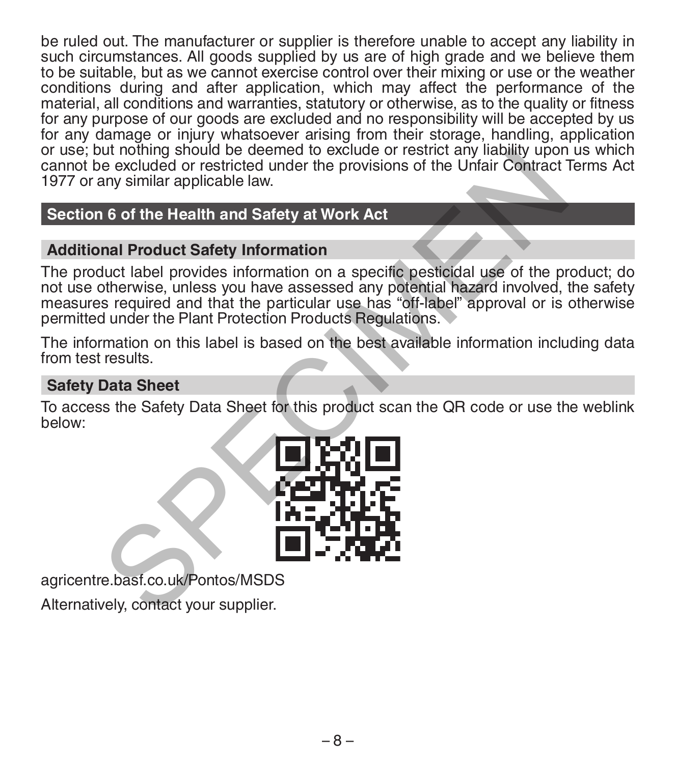be ruled out. The manufacturer or supplier is therefore unable to accept any liability in such circumstances. All goods supplied by us are of high grade and we believe them to be suitable, but as we cannot exercise control over their mixing or use or the weather conditions during and after application, which may affect the performance of the material, all conditions and warranties, statutory or otherwise, as to the quality or fitness for any purpose of our goods are excluded and no responsibility will be accepted by us for any damage or injury whatsoever arising from their storage, handling, application or use; but nothing should be deemed to exclude or restrict any liability upon us which cannot be excluded or restricted under the provisions of the Unfair Contract Terms Act 1977 or any similar applicable law.

# **Section 6 of the Health and Safety at Work Act**

# **Additional Product Safety Information**

The product label provides information on a specific pesticidal use of the product; do not use otherwise, unless you have assessed any potential hazard involved, the safety measures required and that the particular use has "off-label" approval or is otherwise permitted under the Plant Protection Products Regulations. The minimal should be deemed under the provisions of the Unfair Contract<br>
e excluded or restricted under the provisions of the Unfair Contract<br>
any similar applicable law.<br>
16 of the Health and Safety at Work Act<br>
mal Prod

The information on this label is based on the best available information including data from test results.

# **Safety Data Sheet**

To access the Safety Data Sheet for this product scan the QR code or use the weblink below:



agricentre.basf.co.uk/Pontos/MSDS

Alternatively, contact your supplier.